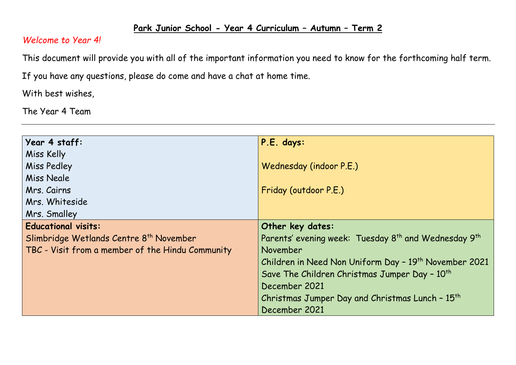## **Park Junior School - Year 4 Curriculum – Autumn – Term 2**

## *Welcome to Year 4!*

This document will provide you with all of the important information you need to know for the forthcoming half term.

If you have any questions, please do come and have a chat at home time.

With best wishes,

The Year 4 Team

| Year 4 staff:                                       | P.E. days:                                                                   |
|-----------------------------------------------------|------------------------------------------------------------------------------|
| Miss Kelly                                          |                                                                              |
| <b>Miss Pedley</b>                                  | Wednesday (indoor P.E.)                                                      |
| Miss Neale                                          |                                                                              |
| Mrs. Cairns                                         | Friday (outdoor P.E.)                                                        |
| Mrs. Whiteside                                      |                                                                              |
| Mrs. Smalley                                        |                                                                              |
| <b>Educational visits:</b>                          | Other key dates:                                                             |
| Slimbridge Wetlands Centre 8 <sup>th</sup> November | Parents' evening week: Tuesday 8 <sup>th</sup> and Wednesday 9 <sup>th</sup> |
| TBC - Visit from a member of the Hindu Community    | November                                                                     |
|                                                     | Children in Need Non Uniform Day - 19 <sup>th</sup> November 2021            |
|                                                     | Save The Children Christmas Jumper Day - 10 <sup>th</sup>                    |
|                                                     | December 2021                                                                |
|                                                     | Christmas Jumper Day and Christmas Lunch - 15 <sup>th</sup>                  |
|                                                     | December 2021                                                                |